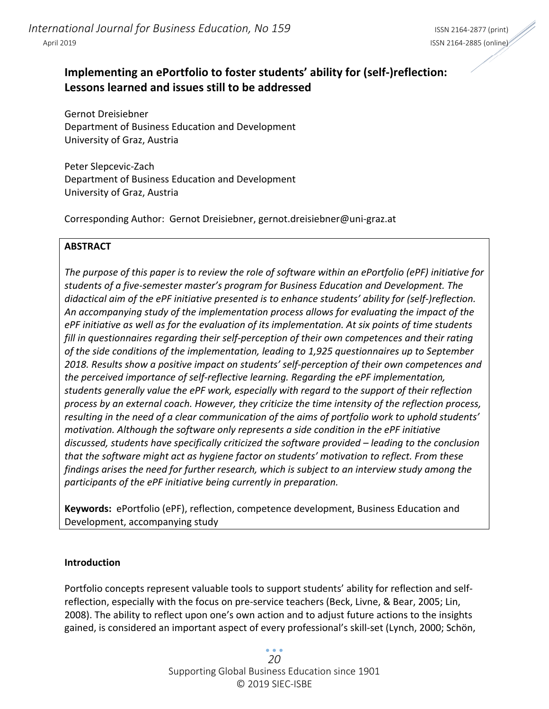# **Implementing an ePortfolio to foster students' ability for (self‐)reflection: Lessons learned and issues still to be addressed**

Gernot Dreisiebner Department of Business Education and Development University of Graz, Austria

Peter Slepcevic‐Zach Department of Business Education and Development University of Graz, Austria

Corresponding Author: Gernot Dreisiebner, gernot.dreisiebner@uni‐graz.at

#### **ABSTRACT**

The purpose of this paper is to review the role of software within an ePortfolio (ePF) initiative for *students of a five‐semester master's program for Business Education and Development. The didactical aim of the ePF initiative presented is to enhance students' ability for (self‐)reflection. An accompanying study of the implementation process allows for evaluating the impact of the ePF initiative as well as for the evaluation of its implementation. At six points of time students fill in questionnaires regarding their self‐perception of their own competences and their rating of the side conditions of the implementation, leading to 1,925 questionnaires up to September 2018. Results show a positive impact on students' self‐perception of their own competences and the perceived importance of self‐reflective learning. Regarding the ePF implementation, students generally value the ePF work, especially with regard to the support of their reflection process by an external coach. However, they criticize the time intensity of the reflection process, resulting in the need of a clear communication of the aims of portfolio work to uphold students' motivation. Although the software only represents a side condition in the ePF initiative discussed, students have specifically criticized the software provided – leading to the conclusion that the software might act as hygiene factor on students' motivation to reflect. From these findings arises the need for further research, which is subject to an interview study among the participants of the ePF initiative being currently in preparation.*

**Keywords:** ePortfolio (ePF), reflection, competence development, Business Education and Development, accompanying study

#### **Introduction**

Portfolio concepts represent valuable tools to support students' ability for reflection and self‐ reflection, especially with the focus on pre‐service teachers (Beck, Livne, & Bear, 2005; Lin, 2008). The ability to reflect upon one's own action and to adjust future actions to the insights gained, is considered an important aspect of every professional's skill‐set (Lynch, 2000; Schön,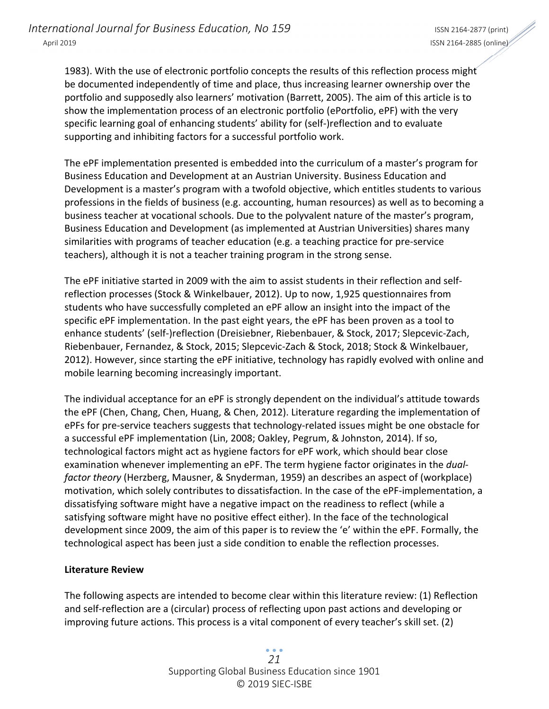1983). With the use of electronic portfolio concepts the results of this reflection process might be documented independently of time and place, thus increasing learner ownership over the portfolio and supposedly also learners' motivation (Barrett, 2005). The aim of this article is to show the implementation process of an electronic portfolio (ePortfolio, ePF) with the very specific learning goal of enhancing students' ability for (self‐)reflection and to evaluate supporting and inhibiting factors for a successful portfolio work.

The ePF implementation presented is embedded into the curriculum of a master's program for Business Education and Development at an Austrian University. Business Education and Development is a master's program with a twofold objective, which entitles students to various professions in the fields of business (e.g. accounting, human resources) as well as to becoming a business teacher at vocational schools. Due to the polyvalent nature of the master's program, Business Education and Development (as implemented at Austrian Universities) shares many similarities with programs of teacher education (e.g. a teaching practice for pre‐service teachers), although it is not a teacher training program in the strong sense.

The ePF initiative started in 2009 with the aim to assist students in their reflection and self‐ reflection processes (Stock & Winkelbauer, 2012). Up to now, 1,925 questionnaires from students who have successfully completed an ePF allow an insight into the impact of the specific ePF implementation. In the past eight years, the ePF has been proven as a tool to enhance students' (self‐)reflection (Dreisiebner, Riebenbauer, & Stock, 2017; Slepcevic‐Zach, Riebenbauer, Fernandez, & Stock, 2015; Slepcevic‐Zach & Stock, 2018; Stock & Winkelbauer, 2012). However, since starting the ePF initiative, technology has rapidly evolved with online and mobile learning becoming increasingly important.

The individual acceptance for an ePF is strongly dependent on the individual's attitude towards the ePF (Chen, Chang, Chen, Huang, & Chen, 2012). Literature regarding the implementation of ePFs for pre-service teachers suggests that technology-related issues might be one obstacle for a successful ePF implementation (Lin, 2008; Oakley, Pegrum, & Johnston, 2014). If so, technological factors might act as hygiene factors for ePF work, which should bear close examination whenever implementing an ePF. The term hygiene factor originates in the *dual‐ factor theory* (Herzberg, Mausner, & Snyderman, 1959) an describes an aspect of (workplace) motivation, which solely contributes to dissatisfaction. In the case of the ePF‐implementation, a dissatisfying software might have a negative impact on the readiness to reflect (while a satisfying software might have no positive effect either). In the face of the technological development since 2009, the aim of this paper is to review the 'e' within the ePF. Formally, the technological aspect has been just a side condition to enable the reflection processes.

## **Literature Review**

The following aspects are intended to become clear within this literature review: (1) Reflection and self‐reflection are a (circular) process of reflecting upon past actions and developing or improving future actions. This process is a vital component of every teacher's skill set. (2)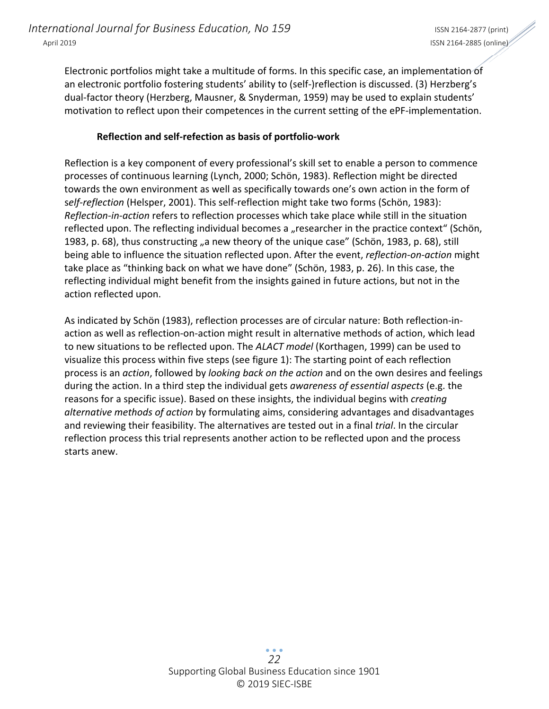Electronic portfolios might take a multitude of forms. In this specific case, an implementation of an electronic portfolio fostering students' ability to (self-)reflection is discussed. (3) Herzberg's dual‐factor theory (Herzberg, Mausner, & Snyderman, 1959) may be used to explain students' motivation to reflect upon their competences in the current setting of the ePF-implementation.

#### **Reflection and self‐refection as basis of portfolio‐work**

Reflection is a key component of every professional's skill set to enable a person to commence processes of continuous learning (Lynch, 2000; Schön, 1983). Reflection might be directed towards the own environment as well as specifically towards one's own action in the form of s*elf‐reflection* (Helsper, 2001). This self‐reflection might take two forms (Schön, 1983): *Reflection‐in‐action* refers to reflection processes which take place while still in the situation reflected upon. The reflecting individual becomes a "researcher in the practice context" (Schön, 1983, p. 68), thus constructing "a new theory of the unique case" (Schön, 1983, p. 68), still being able to influence the situation reflected upon. After the event, *reflection‐on‐action* might take place as "thinking back on what we have done" (Schön, 1983, p. 26). In this case, the reflecting individual might benefit from the insights gained in future actions, but not in the action reflected upon.

As indicated by Schön (1983), reflection processes are of circular nature: Both reflection‐in‐ action as well as reflection‐on‐action might result in alternative methods of action, which lead to new situations to be reflected upon. The *ALACT model* (Korthagen, 1999) can be used to visualize this process within five steps (see figure 1): The starting point of each reflection process is an *action*, followed by *looking back on the action* and on the own desires and feelings during the action. In a third step the individual gets *awareness of essential aspects* (e.g. the reasons for a specific issue). Based on these insights, the individual begins with *creating alternative methods of action* by formulating aims, considering advantages and disadvantages and reviewing their feasibility. The alternatives are tested out in a final *trial*. In the circular reflection process this trial represents another action to be reflected upon and the process starts anew.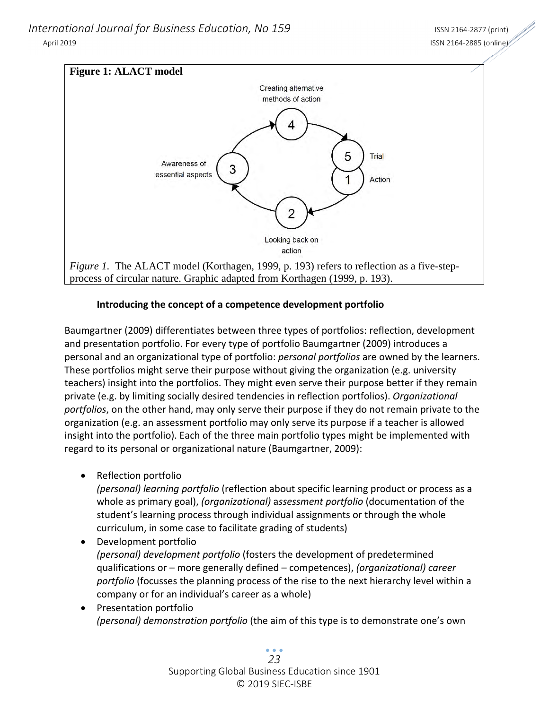*International Journal for Business Education, No 159* International ISSN 2164-2877 (print) April 2019 ISSN 2164‐2885 (online)



## **Introducing the concept of a competence development portfolio**

Baumgartner (2009) differentiates between three types of portfolios: reflection, development and presentation portfolio. For every type of portfolio Baumgartner (2009) introduces a personal and an organizational type of portfolio: *personal portfolios* are owned by the learners. These portfolios might serve their purpose without giving the organization (e.g. university teachers) insight into the portfolios. They might even serve their purpose better if they remain private (e.g. by limiting socially desired tendencies in reflection portfolios). *Organizational portfolios*, on the other hand, may only serve their purpose if they do not remain private to the organization (e.g. an assessment portfolio may only serve its purpose if a teacher is allowed insight into the portfolio). Each of the three main portfolio types might be implemented with regard to its personal or organizational nature (Baumgartner, 2009):

• Reflection portfolio

*(personal) learning portfolio* (reflection about specific learning product or process as a whole as primary goal), *(organizational)* a*ssessment portfolio* (documentation of the student's learning process through individual assignments or through the whole curriculum, in some case to facilitate grading of students)

 Development portfolio *(personal) development portfolio* (fosters the development of predetermined qualifications or – more generally defined – competences), *(organizational) career portfolio* (focusses the planning process of the rise to the next hierarchy level within a company or for an individual's career as a whole)

• Presentation portfolio *(personal) demonstration portfolio* (the aim of this type is to demonstrate one's own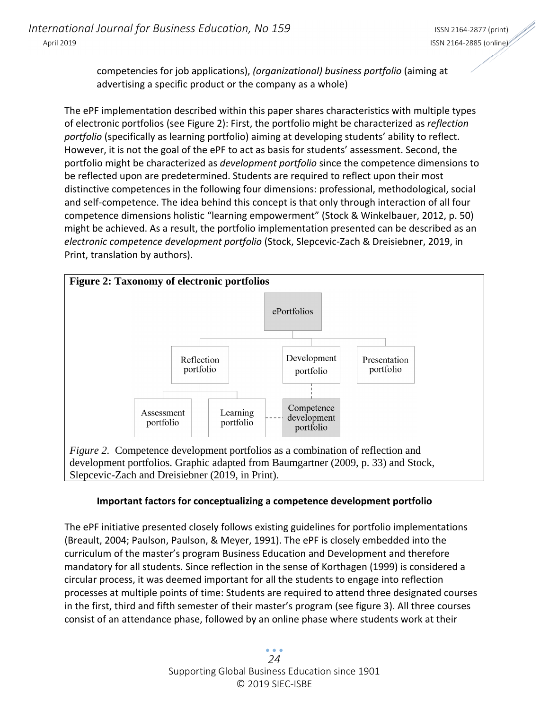competencies for job applications), *(organizational) business portfolio* (aiming at advertising a specific product or the company as a whole)

The ePF implementation described within this paper shares characteristics with multiple types of electronic portfolios (see Figure 2): First, the portfolio might be characterized as *reflection portfolio* (specifically as learning portfolio) aiming at developing students' ability to reflect. However, it is not the goal of the ePF to act as basis for students' assessment. Second, the portfolio might be characterized as *development portfolio* since the competence dimensions to be reflected upon are predetermined. Students are required to reflect upon their most distinctive competences in the following four dimensions: professional, methodological, social and self‐competence. The idea behind this concept is that only through interaction of all four competence dimensions holistic "learning empowerment" (Stock & Winkelbauer, 2012, p. 50) might be achieved. As a result, the portfolio implementation presented can be described as an *electronic competence development portfolio* (Stock, Slepcevic‐Zach & Dreisiebner, 2019, in Print, translation by authors).



Slepcevic-Zach and Dreisiebner (2019, in Print).

## **Important factors for conceptualizing a competence development portfolio**

The ePF initiative presented closely follows existing guidelines for portfolio implementations (Breault, 2004; Paulson, Paulson, & Meyer, 1991). The ePF is closely embedded into the curriculum of the master's program Business Education and Development and therefore mandatory for all students. Since reflection in the sense of Korthagen (1999) is considered a circular process, it was deemed important for all the students to engage into reflection processes at multiple points of time: Students are required to attend three designated courses in the first, third and fifth semester of their master's program (see figure 3). All three courses consist of an attendance phase, followed by an online phase where students work at their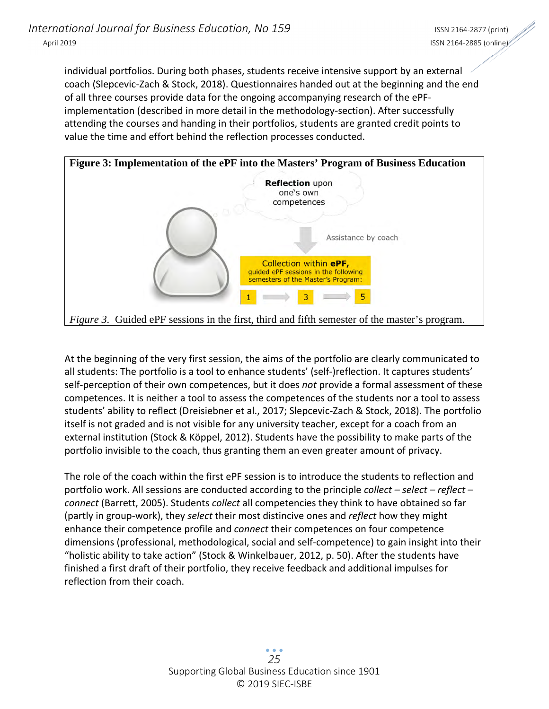individual portfolios. During both phases, students receive intensive support by an external coach (Slepcevic‐Zach & Stock, 2018). Questionnaires handed out at the beginning and the end of all three courses provide data for the ongoing accompanying research of the ePF‐ implementation (described in more detail in the methodology-section). After successfully attending the courses and handing in their portfolios, students are granted credit points to value the time and effort behind the reflection processes conducted.



At the beginning of the very first session, the aims of the portfolio are clearly communicated to all students: The portfolio is a tool to enhance students' (self‐)reflection. It captures students' self‐perception of their own competences, but it does *not* provide a formal assessment of these competences. It is neither a tool to assess the competences of the students nor a tool to assess students' ability to reflect (Dreisiebner et al., 2017; Slepcevic‐Zach & Stock, 2018). The portfolio itself is not graded and is not visible for any university teacher, except for a coach from an external institution (Stock & Köppel, 2012). Students have the possibility to make parts of the portfolio invisible to the coach, thus granting them an even greater amount of privacy.

The role of the coach within the first ePF session is to introduce the students to reflection and portfolio work. All sessions are conducted according to the principle *collect – select – reflect – connect* (Barrett, 2005). Students *collect* all competencies they think to have obtained so far (partly in group‐work), they *select* their most distincive ones and *reflect* how they might enhance their competence profile and *connect* their competences on four competence dimensions (professional, methodological, social and self‐competence) to gain insight into their "holistic ability to take action" (Stock & Winkelbauer, 2012, p. 50). After the students have finished a first draft of their portfolio, they receive feedback and additional impulses for reflection from their coach.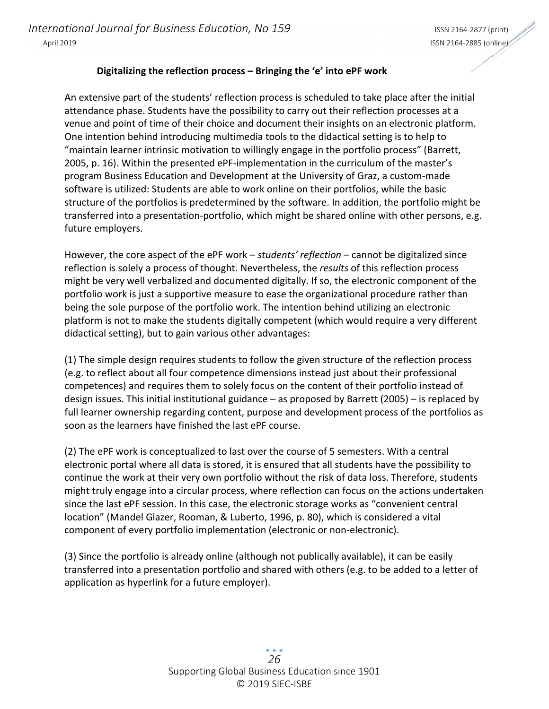#### **Digitalizing the reflection process – Bringing the 'e' into ePF work**

An extensive part of the students' reflection process is scheduled to take place after the initial attendance phase. Students have the possibility to carry out their reflection processes at a venue and point of time of their choice and document their insights on an electronic platform. One intention behind introducing multimedia tools to the didactical setting is to help to "maintain learner intrinsic motivation to willingly engage in the portfolio process" (Barrett, 2005, p. 16). Within the presented ePF‐implementation in the curriculum of the master's program Business Education and Development at the University of Graz, a custom‐made software is utilized: Students are able to work online on their portfolios, while the basic structure of the portfolios is predetermined by the software. In addition, the portfolio might be transferred into a presentation‐portfolio, which might be shared online with other persons, e.g. future employers.

However, the core aspect of the ePF work – *students' reflection* – cannot be digitalized since reflection is solely a process of thought. Nevertheless, the *results* of this reflection process might be very well verbalized and documented digitally. If so, the electronic component of the portfolio work is just a supportive measure to ease the organizational procedure rather than being the sole purpose of the portfolio work. The intention behind utilizing an electronic platform is not to make the students digitally competent (which would require a very different didactical setting), but to gain various other advantages:

(1) The simple design requires students to follow the given structure of the reflection process (e.g. to reflect about all four competence dimensions instead just about their professional competences) and requires them to solely focus on the content of their portfolio instead of design issues. This initial institutional guidance – as proposed by Barrett (2005) – is replaced by full learner ownership regarding content, purpose and development process of the portfolios as soon as the learners have finished the last ePF course.

(2) The ePF work is conceptualized to last over the course of 5 semesters. With a central electronic portal where all data is stored, it is ensured that all students have the possibility to continue the work at their very own portfolio without the risk of data loss. Therefore, students might truly engage into a circular process, where reflection can focus on the actions undertaken since the last ePF session. In this case, the electronic storage works as "convenient central location" (Mandel Glazer, Rooman, & Luberto, 1996, p. 80), which is considered a vital component of every portfolio implementation (electronic or non‐electronic).

(3) Since the portfolio is already online (although not publically available), it can be easily transferred into a presentation portfolio and shared with others (e.g. to be added to a letter of application as hyperlink for a future employer).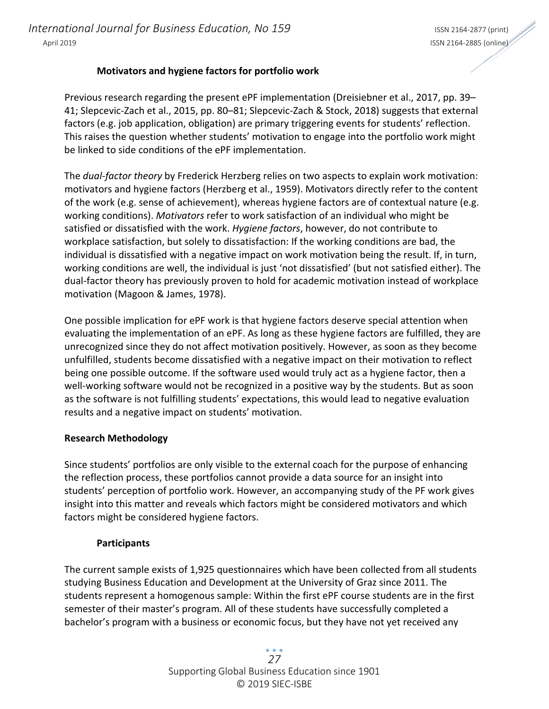## **Motivators and hygiene factors for portfolio work**

Previous research regarding the present ePF implementation (Dreisiebner et al., 2017, pp. 39– 41; Slepcevic‐Zach et al., 2015, pp. 80–81; Slepcevic‐Zach & Stock, 2018) suggests that external factors (e.g. job application, obligation) are primary triggering events for students' reflection. This raises the question whether students' motivation to engage into the portfolio work might be linked to side conditions of the ePF implementation.

The *dual‐factor theory* by Frederick Herzberg relies on two aspects to explain work motivation: motivators and hygiene factors (Herzberg et al., 1959). Motivators directly refer to the content of the work (e.g. sense of achievement), whereas hygiene factors are of contextual nature (e.g. working conditions). *Motivators* refer to work satisfaction of an individual who might be satisfied or dissatisfied with the work. *Hygiene factors*, however, do not contribute to workplace satisfaction, but solely to dissatisfaction: If the working conditions are bad, the individual is dissatisfied with a negative impact on work motivation being the result. If, in turn, working conditions are well, the individual is just 'not dissatisfied' (but not satisfied either). The dual‐factor theory has previously proven to hold for academic motivation instead of workplace motivation (Magoon & James, 1978).

One possible implication for ePF work is that hygiene factors deserve special attention when evaluating the implementation of an ePF. As long as these hygiene factors are fulfilled, they are unrecognized since they do not affect motivation positively. However, as soon as they become unfulfilled, students become dissatisfied with a negative impact on their motivation to reflect being one possible outcome. If the software used would truly act as a hygiene factor, then a well-working software would not be recognized in a positive way by the students. But as soon as the software is not fulfilling students' expectations, this would lead to negative evaluation results and a negative impact on students' motivation.

#### **Research Methodology**

Since students' portfolios are only visible to the external coach for the purpose of enhancing the reflection process, these portfolios cannot provide a data source for an insight into students' perception of portfolio work. However, an accompanying study of the PF work gives insight into this matter and reveals which factors might be considered motivators and which factors might be considered hygiene factors.

#### **Participants**

The current sample exists of 1,925 questionnaires which have been collected from all students studying Business Education and Development at the University of Graz since 2011. The students represent a homogenous sample: Within the first ePF course students are in the first semester of their master's program. All of these students have successfully completed a bachelor's program with a business or economic focus, but they have not yet received any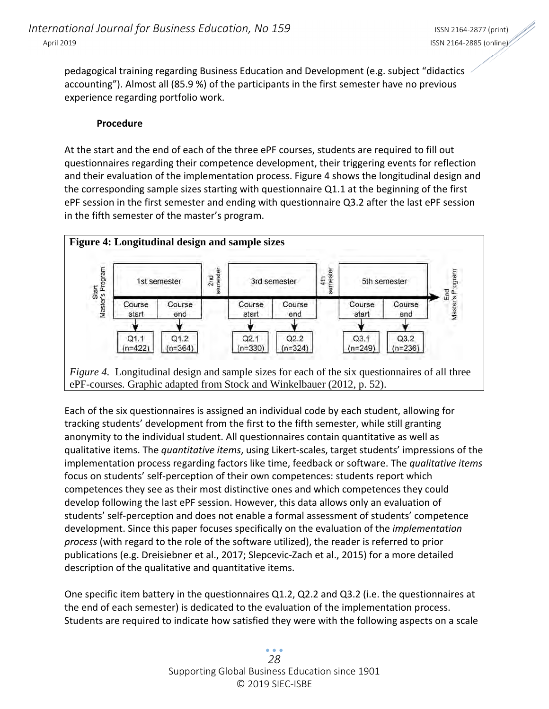pedagogical training regarding Business Education and Development (e.g. subject "didactics accounting"). Almost all (85.9 %) of the participants in the first semester have no previous experience regarding portfolio work.

#### **Procedure**

At the start and the end of each of the three ePF courses, students are required to fill out questionnaires regarding their competence development, their triggering events for reflection and their evaluation of the implementation process. Figure 4 shows the longitudinal design and the corresponding sample sizes starting with questionnaire Q1.1 at the beginning of the first ePF session in the first semester and ending with questionnaire Q3.2 after the last ePF session in the fifth semester of the master's program.



Each of the six questionnaires is assigned an individual code by each student, allowing for tracking students' development from the first to the fifth semester, while still granting anonymity to the individual student. All questionnaires contain quantitative as well as qualitative items. The *quantitative items*, using Likert‐scales, target students' impressions of the implementation process regarding factors like time, feedback or software. The *qualitative items* focus on students' self‐perception of their own competences: students report which competences they see as their most distinctive ones and which competences they could develop following the last ePF session. However, this data allows only an evaluation of students' self‐perception and does not enable a formal assessment of students' competence development. Since this paper focuses specifically on the evaluation of the *implementation process* (with regard to the role of the software utilized), the reader is referred to prior publications (e.g. Dreisiebner et al., 2017; Slepcevic‐Zach et al., 2015) for a more detailed description of the qualitative and quantitative items.

One specific item battery in the questionnaires Q1.2, Q2.2 and Q3.2 (i.e. the questionnaires at the end of each semester) is dedicated to the evaluation of the implementation process. Students are required to indicate how satisfied they were with the following aspects on a scale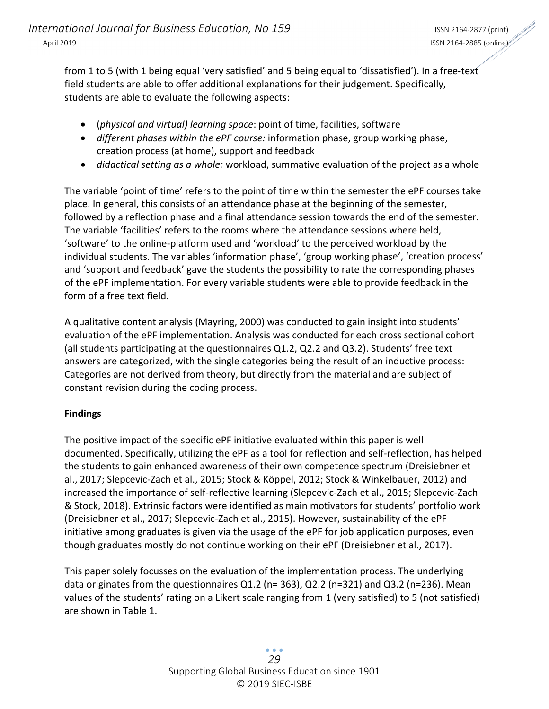from 1 to 5 (with 1 being equal 'very satisfied' and 5 being equal to 'dissatisfied'). In a free-text field students are able to offer additional explanations for their judgement. Specifically, students are able to evaluate the following aspects:

- (*physical and virtual) learning space*: point of time, facilities, software
- *different phases within the ePF course:* information phase, group working phase, creation process (at home), support and feedback
- *didactical setting as a whole:* workload, summative evaluation of the project as a whole

The variable 'point of time' refers to the point of time within the semester the ePF courses take place. In general, this consists of an attendance phase at the beginning of the semester, followed by a reflection phase and a final attendance session towards the end of the semester. The variable 'facilities' refers to the rooms where the attendance sessions where held, 'software' to the online‐platform used and 'workload' to the perceived workload by the individual students. The variables 'information phase', 'group working phase', 'creation process' and 'support and feedback' gave the students the possibility to rate the corresponding phases of the ePF implementation. For every variable students were able to provide feedback in the form of a free text field.

A qualitative content analysis (Mayring, 2000) was conducted to gain insight into students' evaluation of the ePF implementation. Analysis was conducted for each cross sectional cohort (all students participating at the questionnaires Q1.2, Q2.2 and Q3.2). Students' free text answers are categorized, with the single categories being the result of an inductive process: Categories are not derived from theory, but directly from the material and are subject of constant revision during the coding process.

## **Findings**

The positive impact of the specific ePF initiative evaluated within this paper is well documented. Specifically, utilizing the ePF as a tool for reflection and self‐reflection, has helped the students to gain enhanced awareness of their own competence spectrum (Dreisiebner et al., 2017; Slepcevic‐Zach et al., 2015; Stock & Köppel, 2012; Stock & Winkelbauer, 2012) and increased the importance of self‐reflective learning (Slepcevic‐Zach et al., 2015; Slepcevic‐Zach & Stock, 2018). Extrinsic factors were identified as main motivators for students' portfolio work (Dreisiebner et al., 2017; Slepcevic‐Zach et al., 2015). However, sustainability of the ePF initiative among graduates is given via the usage of the ePF for job application purposes, even though graduates mostly do not continue working on their ePF (Dreisiebner et al., 2017).

This paper solely focusses on the evaluation of the implementation process. The underlying data originates from the questionnaires Q1.2 (n= 363), Q2.2 (n=321) and Q3.2 (n=236). Mean values of the students' rating on a Likert scale ranging from 1 (very satisfied) to 5 (not satisfied) are shown in Table 1.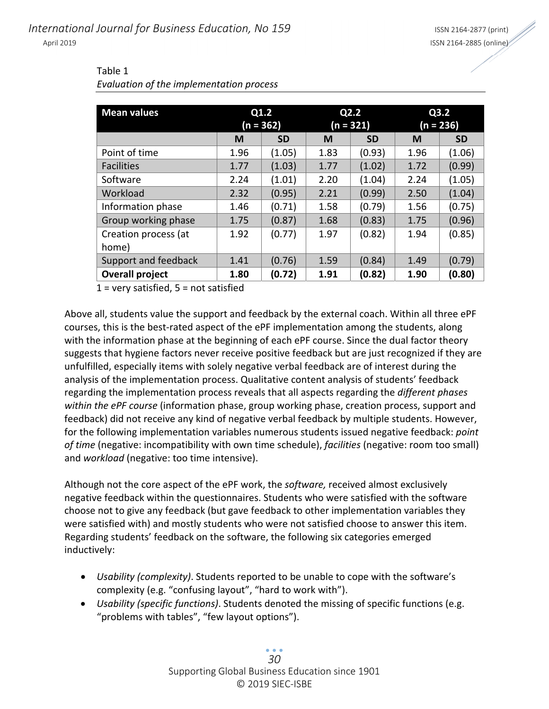| <b>Mean values</b>            | Q1.2<br>$(n = 362)$ |           | Q2.2<br>$(n = 321)$ |           | Q3.2<br>$(n = 236)$ |           |
|-------------------------------|---------------------|-----------|---------------------|-----------|---------------------|-----------|
|                               | M                   | <b>SD</b> | M                   | <b>SD</b> | M                   | <b>SD</b> |
| Point of time                 | 1.96                | (1.05)    | 1.83                | (0.93)    | 1.96                | (1.06)    |
| <b>Facilities</b>             | 1.77                | (1.03)    | 1.77                | (1.02)    | 1.72                | (0.99)    |
| Software                      | 2.24                | (1.01)    | 2.20                | (1.04)    | 2.24                | (1.05)    |
| Workload                      | 2.32                | (0.95)    | 2.21                | (0.99)    | 2.50                | (1.04)    |
| Information phase             | 1.46                | (0.71)    | 1.58                | (0.79)    | 1.56                | (0.75)    |
| Group working phase           | 1.75                | (0.87)    | 1.68                | (0.83)    | 1.75                | (0.96)    |
| Creation process (at<br>home) | 1.92                | (0.77)    | 1.97                | (0.82)    | 1.94                | (0.85)    |
| Support and feedback          | 1.41                | (0.76)    | 1.59                | (0.84)    | 1.49                | (0.79)    |
| <b>Overall project</b>        | 1.80                | (0.72)    | 1.91                | (0.82)    | 1.90                | (0.80)    |

#### Table 1 *Evaluation of the implementation process*

 $1$  = very satisfied,  $5$  = not satisfied

Above all, students value the support and feedback by the external coach. Within all three ePF courses, this is the best-rated aspect of the ePF implementation among the students, along with the information phase at the beginning of each ePF course. Since the dual factor theory suggests that hygiene factors never receive positive feedback but are just recognized if they are unfulfilled, especially items with solely negative verbal feedback are of interest during the analysis of the implementation process. Qualitative content analysis of students' feedback regarding the implementation process reveals that all aspects regarding the *different phases within the ePF course* (information phase, group working phase, creation process, support and feedback) did not receive any kind of negative verbal feedback by multiple students. However, for the following implementation variables numerous students issued negative feedback: *point of time* (negative: incompatibility with own time schedule), *facilities* (negative: room too small) and *workload* (negative: too time intensive).

Although not the core aspect of the ePF work, the *software,* received almost exclusively negative feedback within the questionnaires. Students who were satisfied with the software choose not to give any feedback (but gave feedback to other implementation variables they were satisfied with) and mostly students who were not satisfied choose to answer this item. Regarding students' feedback on the software, the following six categories emerged inductively:

- *Usability (complexity)*. Students reported to be unable to cope with the software's complexity (e.g. "confusing layout", "hard to work with").
- *Usability (specific functions)*. Students denoted the missing of specific functions (e.g. "problems with tables", "few layout options").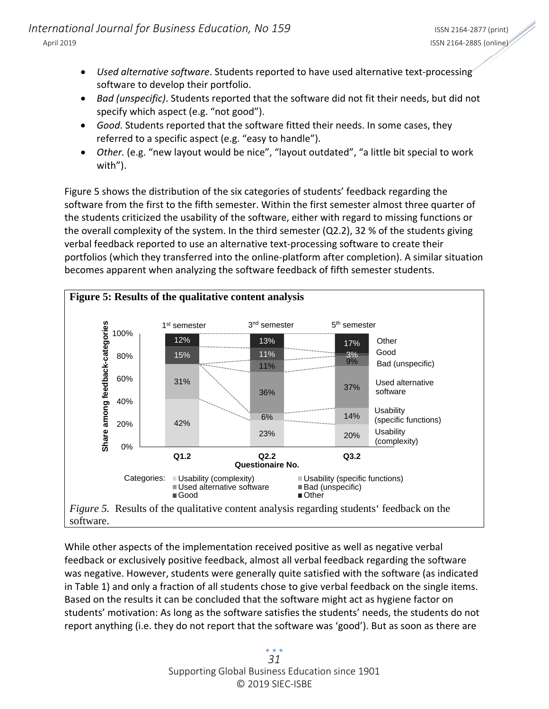- *Used alternative software*. Students reported to have used alternative text‐processing software to develop their portfolio.
- *Bad (unspecific)*. Students reported that the software did not fit their needs, but did not specify which aspect (e.g. "not good").
- *Good*. Students reported that the software fitted their needs. In some cases, they referred to a specific aspect (e.g. "easy to handle").
- *Other.* (e.g. "new layout would be nice", "layout outdated", "a little bit special to work with").

Figure 5 shows the distribution of the six categories of students' feedback regarding the software from the first to the fifth semester. Within the first semester almost three quarter of the students criticized the usability of the software, either with regard to missing functions or the overall complexity of the system. In the third semester (Q2.2), 32 % of the students giving verbal feedback reported to use an alternative text‐processing software to create their portfolios (which they transferred into the online‐platform after completion). A similar situation becomes apparent when analyzing the software feedback of fifth semester students.



While other aspects of the implementation received positive as well as negative verbal feedback or exclusively positive feedback, almost all verbal feedback regarding the software was negative. However, students were generally quite satisfied with the software (as indicated in Table 1) and only a fraction of all students chose to give verbal feedback on the single items. Based on the results it can be concluded that the software might act as hygiene factor on students' motivation: As long as the software satisfies the students' needs, the students do not report anything (i.e. they do not report that the software was 'good'). But as soon as there are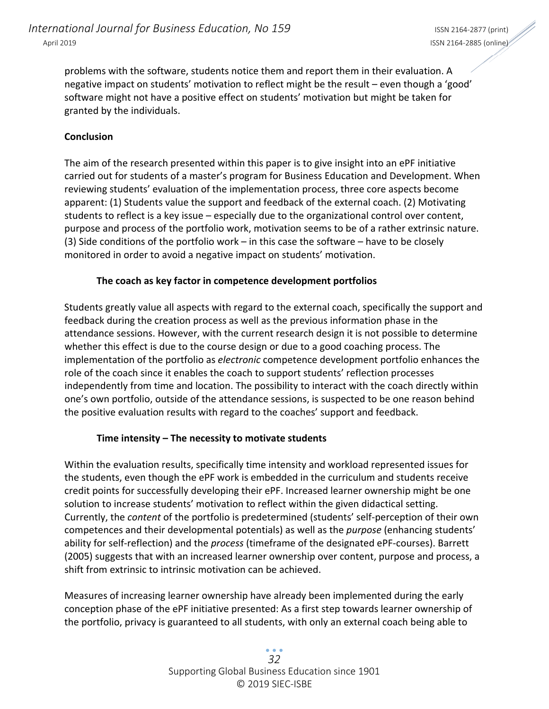problems with the software, students notice them and report them in their evaluation. A negative impact on students' motivation to reflect might be the result – even though a 'good' software might not have a positive effect on students' motivation but might be taken for granted by the individuals.

#### **Conclusion**

The aim of the research presented within this paper is to give insight into an ePF initiative carried out for students of a master's program for Business Education and Development. When reviewing students' evaluation of the implementation process, three core aspects become apparent: (1) Students value the support and feedback of the external coach. (2) Motivating students to reflect is a key issue – especially due to the organizational control over content, purpose and process of the portfolio work, motivation seems to be of a rather extrinsic nature. (3) Side conditions of the portfolio work – in this case the software – have to be closely monitored in order to avoid a negative impact on students' motivation.

#### **The coach as key factor in competence development portfolios**

Students greatly value all aspects with regard to the external coach, specifically the support and feedback during the creation process as well as the previous information phase in the attendance sessions. However, with the current research design it is not possible to determine whether this effect is due to the course design or due to a good coaching process. The implementation of the portfolio as *electronic* competence development portfolio enhances the role of the coach since it enables the coach to support students' reflection processes independently from time and location. The possibility to interact with the coach directly within one's own portfolio, outside of the attendance sessions, is suspected to be one reason behind the positive evaluation results with regard to the coaches' support and feedback.

#### **Time intensity – The necessity to motivate students**

Within the evaluation results, specifically time intensity and workload represented issues for the students, even though the ePF work is embedded in the curriculum and students receive credit points for successfully developing their ePF. Increased learner ownership might be one solution to increase students' motivation to reflect within the given didactical setting. Currently, the *content* of the portfolio is predetermined (students' self‐perception of their own competences and their developmental potentials) as well as the *purpose* (enhancing students' ability for self‐reflection) and the *process* (timeframe of the designated ePF‐courses). Barrett (2005) suggests that with an increased learner ownership over content, purpose and process, a shift from extrinsic to intrinsic motivation can be achieved.

Measures of increasing learner ownership have already been implemented during the early conception phase of the ePF initiative presented: As a first step towards learner ownership of the portfolio, privacy is guaranteed to all students, with only an external coach being able to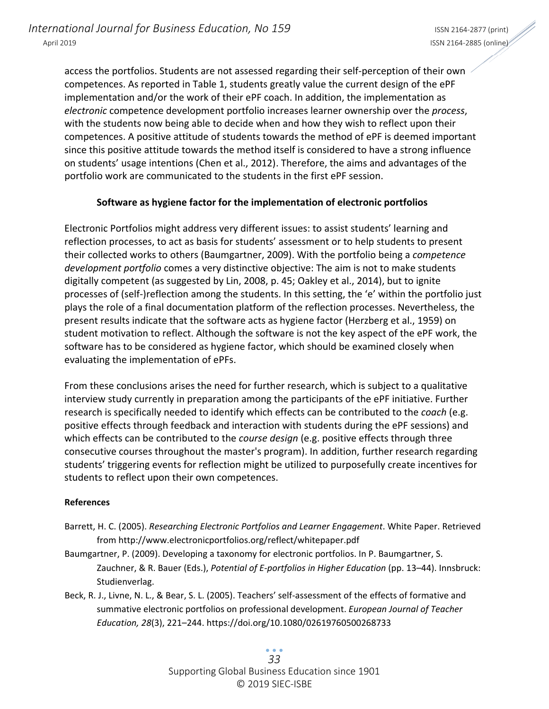access the portfolios. Students are not assessed regarding their self‐perception of their own competences. As reported in Table 1, students greatly value the current design of the ePF implementation and/or the work of their ePF coach. In addition, the implementation as *electronic* competence development portfolio increases learner ownership over the *process*, with the students now being able to decide when and how they wish to reflect upon their competences. A positive attitude of students towards the method of ePF is deemed important since this positive attitude towards the method itself is considered to have a strong influence on students' usage intentions (Chen et al., 2012). Therefore, the aims and advantages of the portfolio work are communicated to the students in the first ePF session.

## **Software as hygiene factor for the implementation of electronic portfolios**

Electronic Portfolios might address very different issues: to assist students' learning and reflection processes, to act as basis for students' assessment or to help students to present their collected works to others (Baumgartner, 2009). With the portfolio being a *competence development portfolio* comes a very distinctive objective: The aim is not to make students digitally competent (as suggested by Lin, 2008, p. 45; Oakley et al., 2014), but to ignite processes of (self‐)reflection among the students. In this setting, the 'e' within the portfolio just plays the role of a final documentation platform of the reflection processes. Nevertheless, the present results indicate that the software acts as hygiene factor (Herzberg et al., 1959) on student motivation to reflect. Although the software is not the key aspect of the ePF work, the software has to be considered as hygiene factor, which should be examined closely when evaluating the implementation of ePFs.

From these conclusions arises the need for further research, which is subject to a qualitative interview study currently in preparation among the participants of the ePF initiative. Further research is specifically needed to identify which effects can be contributed to the *coach* (e.g. positive effects through feedback and interaction with students during the ePF sessions) and which effects can be contributed to the *course design* (e.g. positive effects through three consecutive courses throughout the master's program). In addition, further research regarding students' triggering events for reflection might be utilized to purposefully create incentives for students to reflect upon their own competences.

#### **References**

- Barrett, H. C. (2005). *Researching Electronic Portfolios and Learner Engagement*. White Paper. Retrieved from http://www.electronicportfolios.org/reflect/whitepaper.pdf
- Baumgartner, P. (2009). Developing a taxonomy for electronic portfolios. In P. Baumgartner, S. Zauchner, & R. Bauer (Eds.), *Potential of E‐portfolios in Higher Education* (pp. 13–44). Innsbruck: Studienverlag.
- Beck, R. J., Livne, N. L., & Bear, S. L. (2005). Teachers' self‐assessment of the effects of formative and summative electronic portfolios on professional development. *European Journal of Teacher Education, 28*(3), 221–244. https://doi.org/10.1080/02619760500268733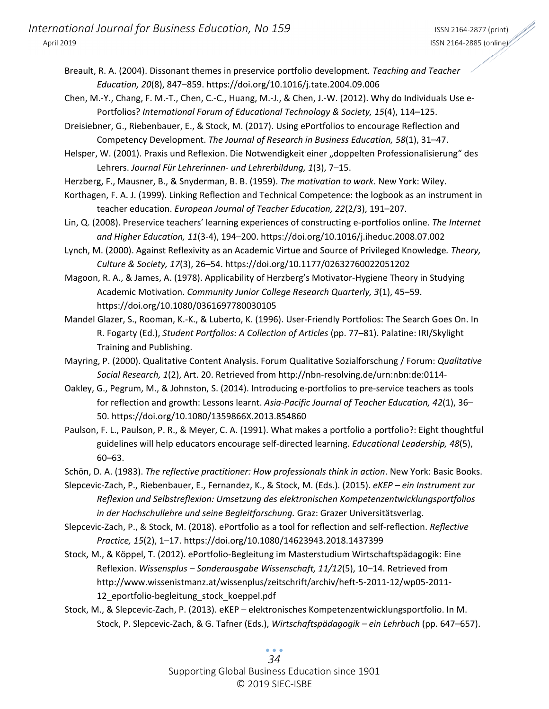- Breault, R. A. (2004). Dissonant themes in preservice portfolio development*. Teaching and Teacher Education, 20*(8), 847–859. https://doi.org/10.1016/j.tate.2004.09.006
- Chen, M.‐Y., Chang, F. M.‐T., Chen, C.‐C., Huang, M.‐J., & Chen, J.‐W. (2012). Why do Individuals Use e‐ Portfolios? *International Forum of Educational Technology & Society, 15*(4), 114–125.
- Dreisiebner, G., Riebenbauer, E., & Stock, M. (2017). Using ePortfolios to encourage Reflection and Competency Development. *The Journal of Research in Business Education, 58*(1), 31–47.
- Helsper, W. (2001). Praxis und Reflexion. Die Notwendigkeit einer "doppelten Professionalisierung" des Lehrers. *Journal Für Lehrerinnen‐ und Lehrerbildung, 1*(3), 7–15.
- Herzberg, F., Mausner, B., & Snyderman, B. B. (1959). *The motivation to work*. New York: Wiley.
- Korthagen, F. A. J. (1999). Linking Reflection and Technical Competence: the logbook as an instrument in teacher education. *European Journal of Teacher Education, 22*(2/3), 191–207.
- Lin, Q. (2008). Preservice teachers' learning experiences of constructing e‐portfolios online. *The Internet and Higher Education, 11*(3‐4), 194–200. https://doi.org/10.1016/j.iheduc.2008.07.002
- Lynch, M. (2000). Against Reflexivity as an Academic Virtue and Source of Privileged Knowledge*. Theory, Culture & Society, 17*(3), 26–54. https://doi.org/10.1177/02632760022051202
- Magoon, R. A., & James, A. (1978). Applicability of Herzberg's Motivator‐Hygiene Theory in Studying Academic Motivation. *Community Junior College Research Quarterly, 3*(1), 45–59. https://doi.org/10.1080/0361697780030105
- Mandel Glazer, S., Rooman, K.‐K., & Luberto, K. (1996). User‐Friendly Portfolios: The Search Goes On. In R. Fogarty (Ed.), *Student Portfolios: A Collection of Articles* (pp. 77–81). Palatine: IRI/Skylight Training and Publishing.
- Mayring, P. (2000). Qualitative Content Analysis. Forum Qualitative Sozialforschung / Forum: *Qualitative Social Research, 1*(2), Art. 20. Retrieved from http://nbn‐resolving.de/urn:nbn:de:0114‐
- Oakley, G., Pegrum, M., & Johnston, S. (2014). Introducing e‐portfolios to pre‐service teachers as tools for reflection and growth: Lessons learnt. *Asia‐Pacific Journal of Teacher Education, 42*(1), 36– 50. https://doi.org/10.1080/1359866X.2013.854860
- Paulson, F. L., Paulson, P. R., & Meyer, C. A. (1991). What makes a portfolio a portfolio?: Eight thoughtful guidelines will help educators encourage self‐directed learning. *Educational Leadership, 48*(5), 60–63.
- Schön, D. A. (1983). *The reflective practitioner: How professionals think in action*. New York: Basic Books.
- Slepcevic‐Zach, P., Riebenbauer, E., Fernandez, K., & Stock, M. (Eds.). (2015). *eKEP – ein Instrument zur Reflexion und Selbstreflexion: Umsetzung des elektronischen Kompetenzentwicklungsportfolios in der Hochschullehre und seine Begleitforschung.* Graz: Grazer Universitätsverlag.
- Slepcevic‐Zach, P., & Stock, M. (2018). ePortfolio as a tool for reflection and self‐reflection. *Reflective Practice, 15*(2), 1–17. https://doi.org/10.1080/14623943.2018.1437399
- Stock, M., & Köppel, T. (2012). ePortfolio‐Begleitung im Masterstudium Wirtschaftspädagogik: Eine Reflexion. *Wissensplus – Sonderausgabe Wissenschaft, 11/12*(5), 10–14. Retrieved from http://www.wissenistmanz.at/wissenplus/zeitschrift/archiv/heft‐5‐2011‐12/wp05‐2011‐ 12 eportfolio-begleitung stock koeppel.pdf
- Stock, M., & Slepcevic‐Zach, P. (2013). eKEP elektronisches Kompetenzentwicklungsportfolio. In M. Stock, P. Slepcevic‐Zach, & G. Tafner (Eds.), *Wirtschaftspädagogik – ein Lehrbuch* (pp. 647–657).

Supporting Global Business Education since 1901 © 2019 SIEC‐ISBE *34*

 $\bullet$   $\bullet$   $\bullet$